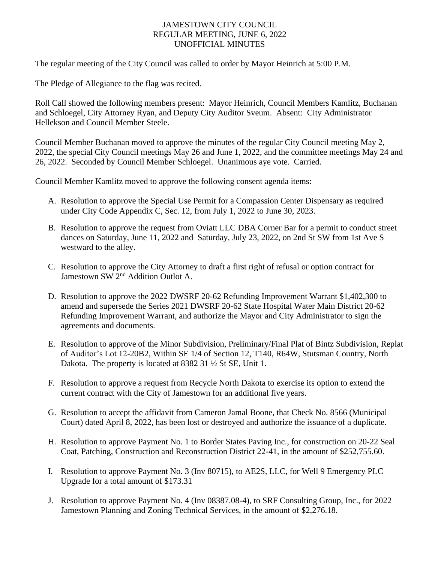## JAMESTOWN CITY COUNCIL REGULAR MEETING, JUNE 6, 2022 UNOFFICIAL MINUTES

The regular meeting of the City Council was called to order by Mayor Heinrich at 5:00 P.M.

The Pledge of Allegiance to the flag was recited.

Roll Call showed the following members present: Mayor Heinrich, Council Members Kamlitz, Buchanan and Schloegel, City Attorney Ryan, and Deputy City Auditor Sveum. Absent: City Administrator Hellekson and Council Member Steele.

Council Member Buchanan moved to approve the minutes of the regular City Council meeting May 2, 2022, the special City Council meetings May 26 and June 1, 2022, and the committee meetings May 24 and 26, 2022. Seconded by Council Member Schloegel. Unanimous aye vote. Carried.

Council Member Kamlitz moved to approve the following consent agenda items:

- A. Resolution to approve the Special Use Permit for a Compassion Center Dispensary as required under City Code Appendix C, Sec. 12, from July 1, 2022 to June 30, 2023.
- B. Resolution to approve the request from Oviatt LLC DBA Corner Bar for a permit to conduct street dances on Saturday, June 11, 2022 and Saturday, July 23, 2022, on 2nd St SW from 1st Ave S westward to the alley.
- C. Resolution to approve the City Attorney to draft a first right of refusal or option contract for Jamestown SW 2<sup>nd</sup> Addition Outlot A.
- D. Resolution to approve the 2022 DWSRF 20-62 Refunding Improvement Warrant \$1,402,300 to amend and supersede the Series 2021 DWSRF 20-62 State Hospital Water Main District 20-62 Refunding Improvement Warrant, and authorize the Mayor and City Administrator to sign the agreements and documents.
- E. Resolution to approve of the Minor Subdivision, Preliminary/Final Plat of Bintz Subdivision, Replat of Auditor's Lot 12-20B2, Within SE 1/4 of Section 12, T140, R64W, Stutsman Country, North Dakota. The property is located at 8382 31 ½ St SE, Unit 1.
- F. Resolution to approve a request from Recycle North Dakota to exercise its option to extend the current contract with the City of Jamestown for an additional five years.
- G. Resolution to accept the affidavit from Cameron Jamal Boone, that Check No. 8566 (Municipal Court) dated April 8, 2022, has been lost or destroyed and authorize the issuance of a duplicate.
- H. Resolution to approve Payment No. 1 to Border States Paving Inc., for construction on 20-22 Seal Coat, Patching, Construction and Reconstruction District 22-41, in the amount of \$252,755.60.
- I. Resolution to approve Payment No. 3 (Inv 80715), to AE2S, LLC, for Well 9 Emergency PLC Upgrade for a total amount of \$173.31
- J. Resolution to approve Payment No. 4 (Inv 08387.08-4), to SRF Consulting Group, Inc., for 2022 Jamestown Planning and Zoning Technical Services, in the amount of \$2,276.18.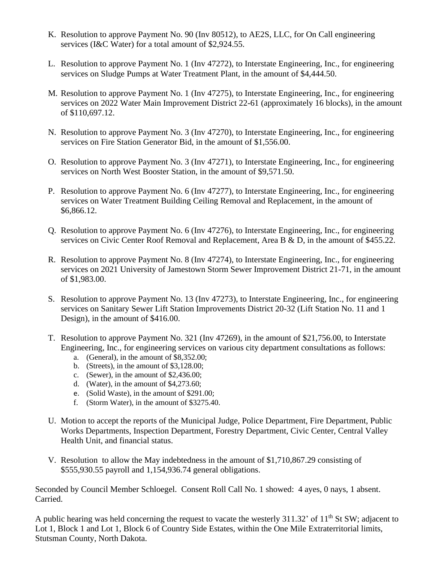- K. Resolution to approve Payment No. 90 (Inv 80512), to AE2S, LLC, for On Call engineering services (I&C Water) for a total amount of \$2,924.55.
- L. Resolution to approve Payment No. 1 (Inv 47272), to Interstate Engineering, Inc., for engineering services on Sludge Pumps at Water Treatment Plant, in the amount of \$4,444.50.
- M. Resolution to approve Payment No. 1 (Inv 47275), to Interstate Engineering, Inc., for engineering services on 2022 Water Main Improvement District 22-61 (approximately 16 blocks), in the amount of \$110,697.12.
- N. Resolution to approve Payment No. 3 (Inv 47270), to Interstate Engineering, Inc., for engineering services on Fire Station Generator Bid, in the amount of \$1,556.00.
- O. Resolution to approve Payment No. 3 (Inv 47271), to Interstate Engineering, Inc., for engineering services on North West Booster Station, in the amount of \$9,571.50.
- P. Resolution to approve Payment No. 6 (Inv 47277), to Interstate Engineering, Inc., for engineering services on Water Treatment Building Ceiling Removal and Replacement, in the amount of \$6,866.12.
- Q. Resolution to approve Payment No. 6 (Inv 47276), to Interstate Engineering, Inc., for engineering services on Civic Center Roof Removal and Replacement, Area B & D, in the amount of \$455.22.
- R. Resolution to approve Payment No. 8 (Inv 47274), to Interstate Engineering, Inc., for engineering services on 2021 University of Jamestown Storm Sewer Improvement District 21-71, in the amount of \$1,983.00.
- S. Resolution to approve Payment No. 13 (Inv 47273), to Interstate Engineering, Inc., for engineering services on Sanitary Sewer Lift Station Improvements District 20-32 (Lift Station No. 11 and 1 Design), in the amount of \$416.00.
- T. Resolution to approve Payment No. 321 (Inv 47269), in the amount of \$21,756.00, to Interstate Engineering, Inc., for engineering services on various city department consultations as follows:
	- a. (General), in the amount of \$8,352.00;
	- b. (Streets), in the amount of \$3,128.00;
	- c. (Sewer), in the amount of \$2,436.00;
	- d. (Water), in the amount of \$4,273.60;
	- e. (Solid Waste), in the amount of \$291.00;
	- f. (Storm Water), in the amount of \$3275.40.
- U. Motion to accept the reports of the Municipal Judge, Police Department, Fire Department, Public Works Departments, Inspection Department, Forestry Department, Civic Center, Central Valley Health Unit, and financial status.
- V. Resolution to allow the May indebtedness in the amount of \$1,710,867.29 consisting of \$555,930.55 payroll and 1,154,936.74 general obligations.

Seconded by Council Member Schloegel. Consent Roll Call No. 1 showed: 4 ayes, 0 nays, 1 absent. Carried.

A public hearing was held concerning the request to vacate the westerly 311.32' of 11<sup>th</sup> St SW; adjacent to Lot 1, Block 1 and Lot 1, Block 6 of Country Side Estates, within the One Mile Extraterritorial limits, Stutsman County, North Dakota.